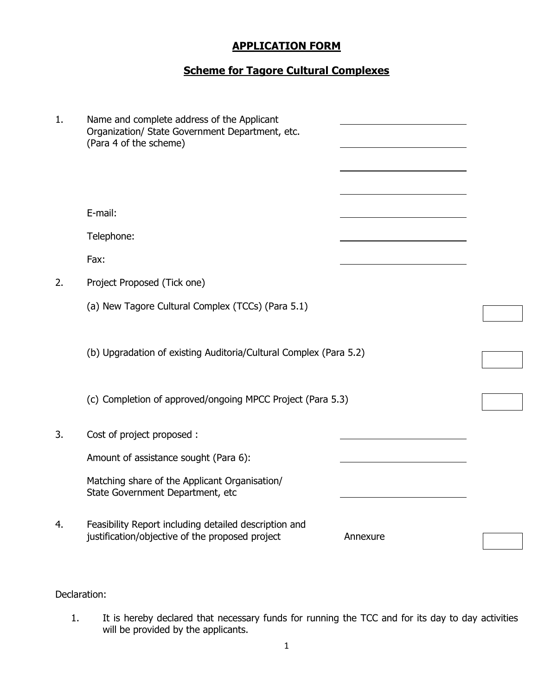# APPLICATION FORM

# Scheme for Tagore Cultural Complexes

| 1. | Name and complete address of the Applicant<br>Organization/ State Government Department, etc.<br>(Para 4 of the scheme) |          |  |
|----|-------------------------------------------------------------------------------------------------------------------------|----------|--|
|    | E-mail:                                                                                                                 |          |  |
|    | Telephone:                                                                                                              |          |  |
|    | Fax:                                                                                                                    |          |  |
| 2. | Project Proposed (Tick one)                                                                                             |          |  |
|    | (a) New Tagore Cultural Complex (TCCs) (Para 5.1)                                                                       |          |  |
|    | (b) Upgradation of existing Auditoria/Cultural Complex (Para 5.2)                                                       |          |  |
|    | (c) Completion of approved/ongoing MPCC Project (Para 5.3)                                                              |          |  |
| 3. | Cost of project proposed :                                                                                              |          |  |
|    | Amount of assistance sought (Para 6):                                                                                   |          |  |
|    | Matching share of the Applicant Organisation/<br>State Government Department, etc                                       |          |  |
| 4. | Feasibility Report including detailed description and<br>justification/objective of the proposed project                | Annexure |  |

### Declaration:

1. It is hereby declared that necessary funds for running the TCC and for its day to day activities will be provided by the applicants.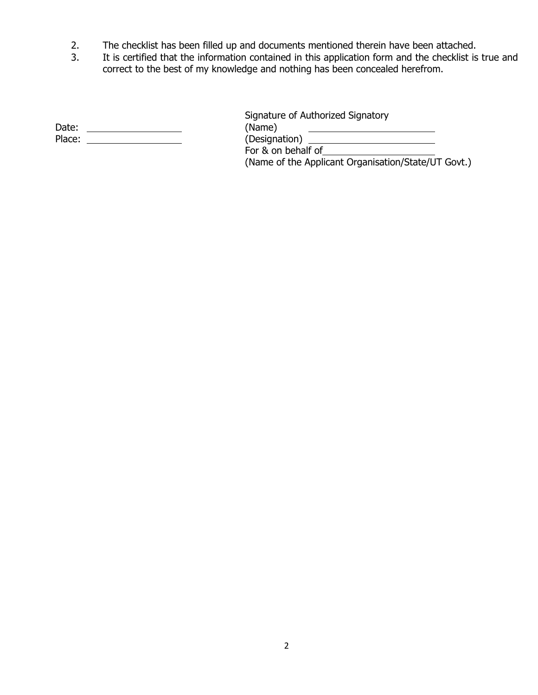- 2. The checklist has been filled up and documents mentioned therein have been attached.
- 3. It is certified that the information contained in this application form and the checklist is true and correct to the best of my knowledge and nothing has been concealed herefrom.

| Date:  | (Name)        |
|--------|---------------|
| Place: | (Designation) |

Signature of Authorized Signatory<br>(Name) For & on behalf of

(Name of the Applicant Organisation/State/UT Govt.)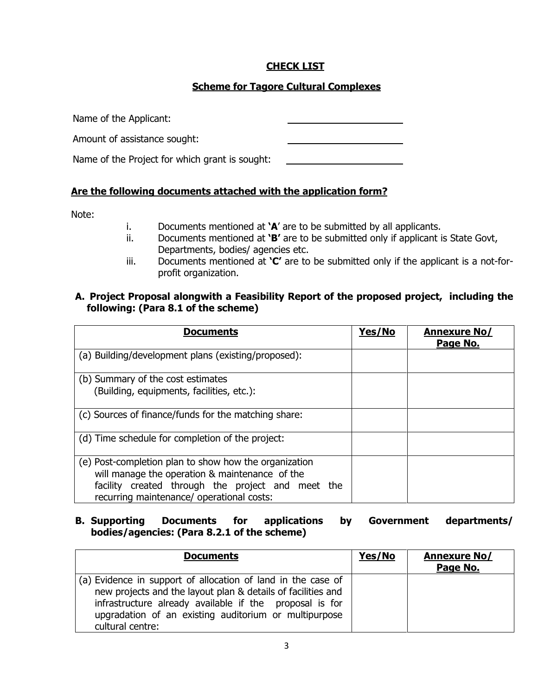# CHECK LIST

# Scheme for Tagore Cultural Complexes

Name of the Applicant:

Amount of assistance sought:

Name of the Project for which grant is sought:

### Are the following documents attached with the application form?

Note:

- i. Documents mentioned at  $'A'$  are to be submitted by all applicants.
- ii. Documents mentioned at ' $B'$  are to be submitted only if applicant is State Govt, Departments, bodies/ agencies etc.
- iii. Documents mentioned at  $C'$  are to be submitted only if the applicant is a not-forprofit organization.

### A. Project Proposal alongwith a Feasibility Report of the proposed project, including the following: (Para 8.1 of the scheme)

| <b>Documents</b>                                                                                                                                                                                          | Yes/No | <b>Annexure No/</b><br>Page No. |
|-----------------------------------------------------------------------------------------------------------------------------------------------------------------------------------------------------------|--------|---------------------------------|
| (a) Building/development plans (existing/proposed):                                                                                                                                                       |        |                                 |
| (b) Summary of the cost estimates<br>(Building, equipments, facilities, etc.):                                                                                                                            |        |                                 |
| (c) Sources of finance/funds for the matching share:                                                                                                                                                      |        |                                 |
| (d) Time schedule for completion of the project:                                                                                                                                                          |        |                                 |
| (e) Post-completion plan to show how the organization<br>will manage the operation & maintenance of the<br>facility created through the project and meet the<br>recurring maintenance/ operational costs: |        |                                 |

#### B. Supporting Documents for applications by Government departments/ bodies/agencies: (Para 8.2.1 of the scheme)

| <b>Documents</b>                                                                                                                                                                                                                                                     | Yes/No | <b>Annexure No/</b><br>Page No. |
|----------------------------------------------------------------------------------------------------------------------------------------------------------------------------------------------------------------------------------------------------------------------|--------|---------------------------------|
| (a) Evidence in support of allocation of land in the case of<br>new projects and the layout plan & details of facilities and<br>infrastructure already available if the proposal is for<br>upgradation of an existing auditorium or multipurpose<br>cultural centre: |        |                                 |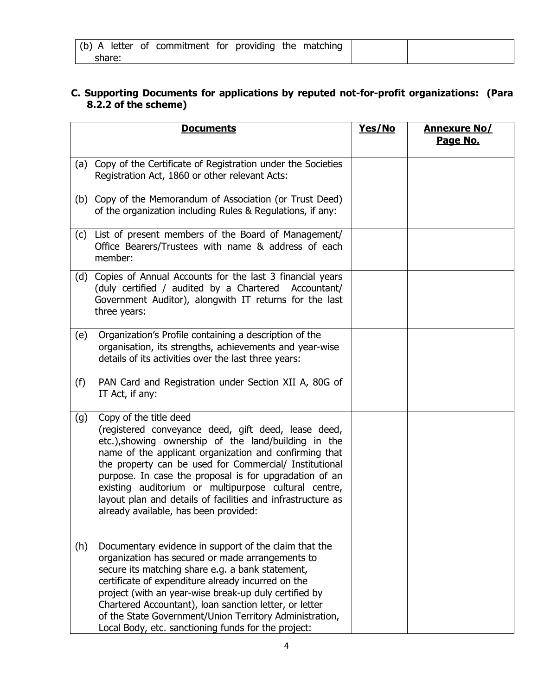|        |  |  | (b) A letter of commitment for providing the matching |  |  |  |
|--------|--|--|-------------------------------------------------------|--|--|--|
| share: |  |  |                                                       |  |  |  |

### C. Supporting Documents for applications by reputed not-for-profit organizations: (Para 8.2.2 of the scheme)

|     | <b>Documents</b>                                                                                                                                                                                                                                                                                                                                                                                                                                                                    | Yes/No | <b>Annexure No/</b><br>Page No. |
|-----|-------------------------------------------------------------------------------------------------------------------------------------------------------------------------------------------------------------------------------------------------------------------------------------------------------------------------------------------------------------------------------------------------------------------------------------------------------------------------------------|--------|---------------------------------|
| (a) | Copy of the Certificate of Registration under the Societies<br>Registration Act, 1860 or other relevant Acts:                                                                                                                                                                                                                                                                                                                                                                       |        |                                 |
|     | (b) Copy of the Memorandum of Association (or Trust Deed)<br>of the organization including Rules & Regulations, if any:                                                                                                                                                                                                                                                                                                                                                             |        |                                 |
|     | (c) List of present members of the Board of Management/<br>Office Bearers/Trustees with name & address of each<br>member:                                                                                                                                                                                                                                                                                                                                                           |        |                                 |
|     | (d) Copies of Annual Accounts for the last 3 financial years<br>(duly certified / audited by a Chartered Accountant/<br>Government Auditor), alongwith IT returns for the last<br>three years:                                                                                                                                                                                                                                                                                      |        |                                 |
| (e) | Organization's Profile containing a description of the<br>organisation, its strengths, achievements and year-wise<br>details of its activities over the last three years:                                                                                                                                                                                                                                                                                                           |        |                                 |
| (f) | PAN Card and Registration under Section XII A, 80G of<br>IT Act, if any:                                                                                                                                                                                                                                                                                                                                                                                                            |        |                                 |
| (g) | Copy of the title deed<br>(registered conveyance deed, gift deed, lease deed,<br>etc.), showing ownership of the land/building in the<br>name of the applicant organization and confirming that<br>the property can be used for Commercial/ Institutional<br>purpose. In case the proposal is for upgradation of an<br>existing auditorium or multipurpose cultural centre,<br>layout plan and details of facilities and infrastructure as<br>already available, has been provided: |        |                                 |
| (h) | Documentary evidence in support of the claim that the<br>organization has secured or made arrangements to<br>secure its matching share e.g. a bank statement,<br>certificate of expenditure already incurred on the<br>project (with an year-wise break-up duly certified by<br>Chartered Accountant), loan sanction letter, or letter<br>of the State Government/Union Territory Administration,<br>Local Body, etc. sanctioning funds for the project:                            |        |                                 |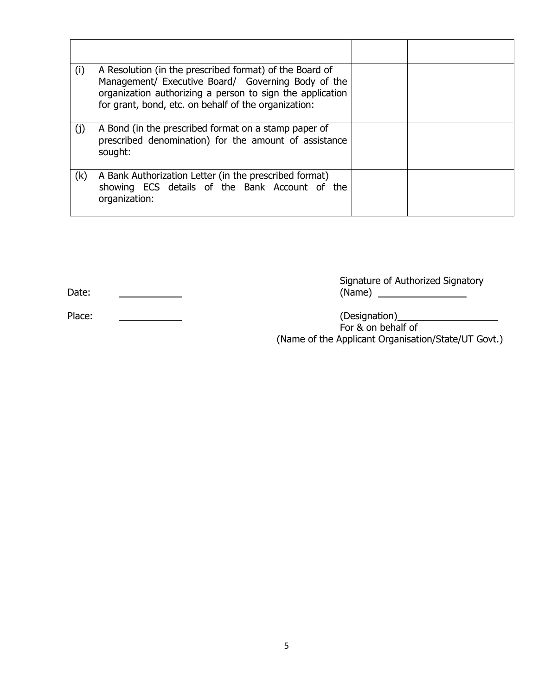| (i) | A Resolution (in the prescribed format) of the Board of<br>Management/ Executive Board/ Governing Body of the<br>organization authorizing a person to sign the application<br>for grant, bond, etc. on behalf of the organization: |  |
|-----|------------------------------------------------------------------------------------------------------------------------------------------------------------------------------------------------------------------------------------|--|
| (i) | A Bond (in the prescribed format on a stamp paper of<br>prescribed denomination) for the amount of assistance<br>sought:                                                                                                           |  |
| (k) | A Bank Authorization Letter (in the prescribed format)<br>showing ECS details of the Bank Account of the<br>organization:                                                                                                          |  |

|       | Signature of Authorized Signatory |
|-------|-----------------------------------|
| Date: | 'Name,                            |

Place: 2008 and 2008 and 2008 and 2008 and 2008 and 2008 (Designation)

For & on behalf of the state of the state of the state of the state of the state of the state of the state of the state of the state of the state of the state of the state of the state of the state of the state of the stat (Name of the Applicant Organisation/State/UT Govt.)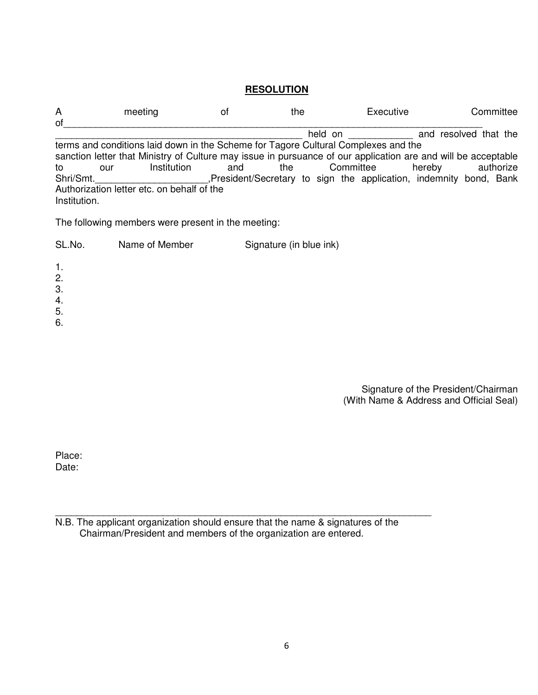#### **RESOLUTION**

| A            | meeting | Οt                                                                                 | the |                                                                                                                | Executive | Committee                                                                                                     |
|--------------|---------|------------------------------------------------------------------------------------|-----|----------------------------------------------------------------------------------------------------------------|-----------|---------------------------------------------------------------------------------------------------------------|
| of           |         |                                                                                    |     |                                                                                                                |           |                                                                                                               |
|              |         |                                                                                    |     | held on the state of the state of the state of the state of the state of the state of the state of the state o |           | and resolved that the                                                                                         |
|              |         | terms and conditions laid down in the Scheme for Tagore Cultural Complexes and the |     |                                                                                                                |           |                                                                                                               |
|              |         |                                                                                    |     |                                                                                                                |           | sanction letter that Ministry of Culture may issue in pursuance of our application are and will be acceptable |
| to           | our     | Institution<br>and                                                                 | the |                                                                                                                | Committee | authorize<br>hereby                                                                                           |
| Shri/Smt.    |         |                                                                                    |     |                                                                                                                |           | President/Secretary to sign the application, indemnity bond, Bank                                             |
|              |         | Authorization letter etc. on behalf of the                                         |     |                                                                                                                |           |                                                                                                               |
| Institution. |         |                                                                                    |     |                                                                                                                |           |                                                                                                               |

The following members were present in the meeting:

SL.No. Name of Member Signature (in blue ink)

- 1. 2. 3. 4.
- 5.
- 

6.

Signature of the President/Chairman (With Name & Address and Official Seal)

Place: Date:

N.B. The applicant organization should ensure that the name & signatures of the Chairman/President and members of the organization are entered.

\_\_\_\_\_\_\_\_\_\_\_\_\_\_\_\_\_\_\_\_\_\_\_\_\_\_\_\_\_\_\_\_\_\_\_\_\_\_\_\_\_\_\_\_\_\_\_\_\_\_\_\_\_\_\_\_\_\_\_\_\_\_\_\_\_\_\_\_\_\_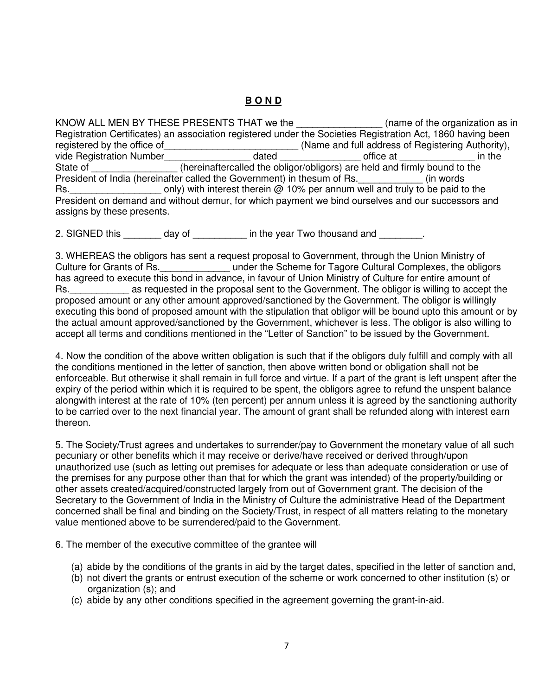# **B O N D**

KNOW ALL MEN BY THESE PRESENTS THAT we the  $\blacksquare$  (name of the organization as in Registration Certificates) an association registered under the Societies Registration Act, 1860 having been registered by the office of electron and the and full address of Registering Authority), vide Registration Number\_\_\_\_\_\_\_\_\_\_\_\_\_\_\_\_\_\_\_dated \_\_\_\_\_\_\_\_\_\_\_\_\_\_\_\_\_\_office at \_\_\_\_\_\_\_\_\_\_\_\_\_\_\_\_\_\_ in the State of \_\_\_\_\_\_\_\_\_\_\_\_\_\_\_\_(hereinaftercalled the obligor/obligors) are held and firmly bound to the President of India (hereinafter called the Government) in thesum of Rs. \_\_\_\_\_\_\_\_\_\_\_\_\_ (in words Rs.  $\blacksquare$  only) with interest therein  $\oslash$  10% per annum well and truly to be paid to the President on demand and without demur, for which payment we bind ourselves and our successors and assigns by these presents.

2. SIGNED this \_\_\_\_\_\_\_ day of \_\_\_\_\_\_\_\_ in the year Two thousand and \_\_\_\_\_\_\_.

3. WHEREAS the obligors has sent a request proposal to Government, through the Union Ministry of Culture for Grants of Rs. The Scheme for Tagore Cultural Complexes, the obligors has agreed to execute this bond in advance, in favour of Union Ministry of Culture for entire amount of Rs. The as requested in the proposal sent to the Government. The obligor is willing to accept the proposed amount or any other amount approved/sanctioned by the Government. The obligor is willingly executing this bond of proposed amount with the stipulation that obligor will be bound upto this amount or by the actual amount approved/sanctioned by the Government, whichever is less. The obligor is also willing to accept all terms and conditions mentioned in the "Letter of Sanction" to be issued by the Government.

4. Now the condition of the above written obligation is such that if the obligors duly fulfill and comply with all the conditions mentioned in the letter of sanction, then above written bond or obligation shall not be enforceable. But otherwise it shall remain in full force and virtue. If a part of the grant is left unspent after the expiry of the period within which it is required to be spent, the obligors agree to refund the unspent balance alongwith interest at the rate of 10% (ten percent) per annum unless it is agreed by the sanctioning authority to be carried over to the next financial year. The amount of grant shall be refunded along with interest earn thereon.

5. The Society/Trust agrees and undertakes to surrender/pay to Government the monetary value of all such pecuniary or other benefits which it may receive or derive/have received or derived through/upon unauthorized use (such as letting out premises for adequate or less than adequate consideration or use of the premises for any purpose other than that for which the grant was intended) of the property/building or other assets created/acquired/constructed largely from out of Government grant. The decision of the Secretary to the Government of India in the Ministry of Culture the administrative Head of the Department concerned shall be final and binding on the Society/Trust, in respect of all matters relating to the monetary value mentioned above to be surrendered/paid to the Government.

6. The member of the executive committee of the grantee will

- (a) abide by the conditions of the grants in aid by the target dates, specified in the letter of sanction and,
- (b) not divert the grants or entrust execution of the scheme or work concerned to other institution (s) or organization (s); and
- (c) abide by any other conditions specified in the agreement governing the grant-in-aid.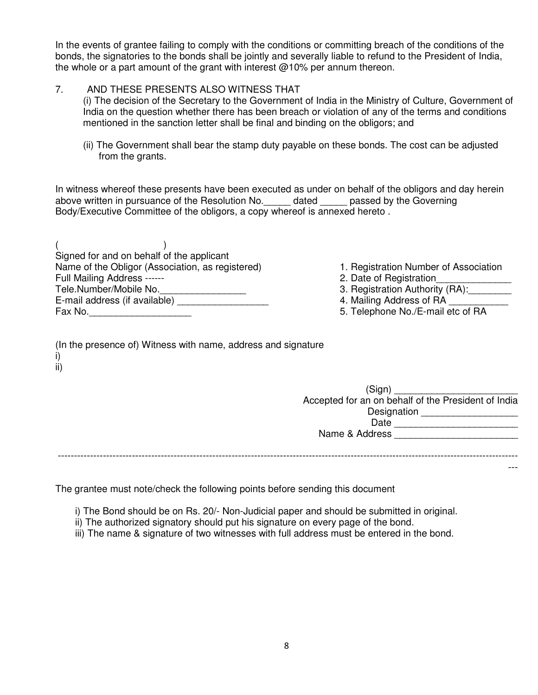In the events of grantee failing to comply with the conditions or committing breach of the conditions of the bonds, the signatories to the bonds shall be jointly and severally liable to refund to the President of India, the whole or a part amount of the grant with interest  $@10\%$  per annum thereon.

#### 7. AND THESE PRESENTS ALSO WITNESS THAT

(i) The decision of the Secretary to the Government of India in the Ministry of Culture, Government of India on the question whether there has been breach or violation of any of the terms and conditions mentioned in the sanction letter shall be final and binding on the obligors; and

(ii) The Government shall bear the stamp duty payable on these bonds. The cost can be adjusted from the grants.

In witness whereof these presents have been executed as under on behalf of the obligors and day herein above written in pursuance of the Resolution No.\_\_\_\_\_ dated \_\_\_\_\_ passed by the Governing Body/Executive Committee of the obligors, a copy whereof is annexed hereto .

 $($  ) Signed for and on behalf of the applicant Name of the Obligor (Association, as registered) 1. Registration Number of Association Full Mailing Address ------<br>Tele Number/Mobile No. 2. Date of Registration \_\_\_\_\_\_\_\_\_\_\_\_\_\_\_\_\_\_\_\_\_\_\_\_\_\_\_\_\_\_\_\_\_\_<br>3. Registration Authority (RA): Tele.Number/Mobile No.\_\_\_\_\_\_\_\_\_\_\_\_\_\_\_\_\_\_\_ E-mail address (if available) **E-mail address of RA**  $\overline{a}$  4. Mailing Address of RA Fax No.\_\_\_\_\_\_\_\_\_\_\_\_\_\_\_\_\_\_\_ 5. Telephone No./E-mail etc of RA

- 
- 
- 
- 
- 

| (In the presence of) Witness with name, address and signature |  |
|---------------------------------------------------------------|--|
| i)                                                            |  |
| ii)                                                           |  |

| (Sign)                                              |
|-----------------------------------------------------|
| Accepted for an on behalf of the President of India |
| Designation                                         |
| Date                                                |
| Name & Address                                      |
|                                                     |

---

-----------------------------------------------------------------------------------------------------------------------------------------------

The grantee must note/check the following points before sending this document

- i) The Bond should be on Rs. 20/- Non-Judicial paper and should be submitted in original.
- ii) The authorized signatory should put his signature on every page of the bond.
- iii) The name & signature of two witnesses with full address must be entered in the bond.